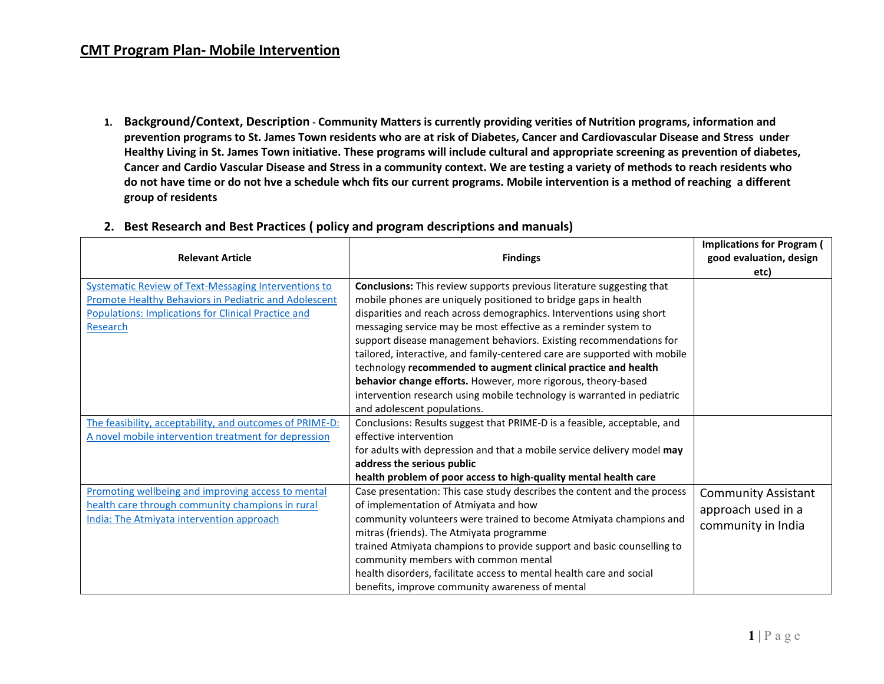**1. Background/Context, Description - Community Matters is currently providing verities of Nutrition programs, information and prevention programs to St. James Town residents who are at risk of Diabetes, Cancer and Cardiovascular Disease and Stress under Healthy Living in St. James Town initiative. These programs will include cultural and appropriate screening as prevention of diabetes, Cancer and Cardio Vascular Disease and Stress in a community context. We are testing a variety of methods to reach residents who do not have time or do not hve a schedule whch fits our current programs. Mobile intervention is a method of reaching a different group of residents**

| <b>Relevant Article</b>                                                                                             | <b>Findings</b>                                                                                                                        | <b>Implications for Program (</b><br>good evaluation, design |
|---------------------------------------------------------------------------------------------------------------------|----------------------------------------------------------------------------------------------------------------------------------------|--------------------------------------------------------------|
|                                                                                                                     |                                                                                                                                        | etc)                                                         |
| <b>Systematic Review of Text-Messaging Interventions to</b>                                                         | Conclusions: This review supports previous literature suggesting that                                                                  |                                                              |
| Promote Healthy Behaviors in Pediatric and Adolescent<br><b>Populations: Implications for Clinical Practice and</b> | mobile phones are uniquely positioned to bridge gaps in health<br>disparities and reach across demographics. Interventions using short |                                                              |
| Research                                                                                                            | messaging service may be most effective as a reminder system to                                                                        |                                                              |
|                                                                                                                     | support disease management behaviors. Existing recommendations for                                                                     |                                                              |
|                                                                                                                     | tailored, interactive, and family-centered care are supported with mobile                                                              |                                                              |
|                                                                                                                     | technology recommended to augment clinical practice and health                                                                         |                                                              |
|                                                                                                                     | behavior change efforts. However, more rigorous, theory-based                                                                          |                                                              |
|                                                                                                                     | intervention research using mobile technology is warranted in pediatric                                                                |                                                              |
|                                                                                                                     | and adolescent populations.                                                                                                            |                                                              |
| The feasibility, acceptability, and outcomes of PRIME-D:                                                            | Conclusions: Results suggest that PRIME-D is a feasible, acceptable, and                                                               |                                                              |
| A novel mobile intervention treatment for depression                                                                | effective intervention                                                                                                                 |                                                              |
|                                                                                                                     | for adults with depression and that a mobile service delivery model may                                                                |                                                              |
|                                                                                                                     | address the serious public                                                                                                             |                                                              |
|                                                                                                                     | health problem of poor access to high-quality mental health care                                                                       |                                                              |
| Promoting wellbeing and improving access to mental                                                                  | Case presentation: This case study describes the content and the process                                                               | <b>Community Assistant</b>                                   |
| health care through community champions in rural                                                                    | of implementation of Atmiyata and how                                                                                                  | approach used in a                                           |
| <b>India: The Atmiyata intervention approach</b>                                                                    | community volunteers were trained to become Atmiyata champions and                                                                     | community in India                                           |
|                                                                                                                     | mitras (friends). The Atmiyata programme                                                                                               |                                                              |
|                                                                                                                     | trained Atmiyata champions to provide support and basic counselling to                                                                 |                                                              |
|                                                                                                                     | community members with common mental                                                                                                   |                                                              |
|                                                                                                                     | health disorders, facilitate access to mental health care and social                                                                   |                                                              |
|                                                                                                                     | benefits, improve community awareness of mental                                                                                        |                                                              |

## **2. Best Research and Best Practices ( policy and program descriptions and manuals)**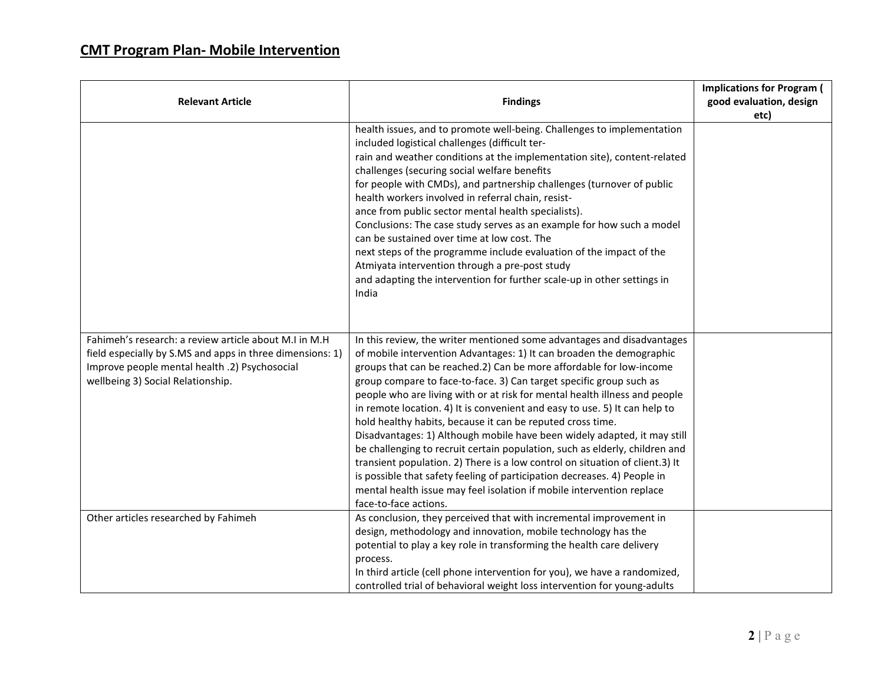|                                                                                                                                                                                                          |                                                                                                                                                                                                                                                                                                                                                                                                                                                                                                                                                                                                                                                                                                                                                                                                                                                                                                                                                 | <b>Implications for Program (</b> |
|----------------------------------------------------------------------------------------------------------------------------------------------------------------------------------------------------------|-------------------------------------------------------------------------------------------------------------------------------------------------------------------------------------------------------------------------------------------------------------------------------------------------------------------------------------------------------------------------------------------------------------------------------------------------------------------------------------------------------------------------------------------------------------------------------------------------------------------------------------------------------------------------------------------------------------------------------------------------------------------------------------------------------------------------------------------------------------------------------------------------------------------------------------------------|-----------------------------------|
| <b>Relevant Article</b>                                                                                                                                                                                  | <b>Findings</b>                                                                                                                                                                                                                                                                                                                                                                                                                                                                                                                                                                                                                                                                                                                                                                                                                                                                                                                                 | good evaluation, design           |
|                                                                                                                                                                                                          |                                                                                                                                                                                                                                                                                                                                                                                                                                                                                                                                                                                                                                                                                                                                                                                                                                                                                                                                                 | etc)                              |
|                                                                                                                                                                                                          | health issues, and to promote well-being. Challenges to implementation<br>included logistical challenges (difficult ter-<br>rain and weather conditions at the implementation site), content-related<br>challenges (securing social welfare benefits<br>for people with CMDs), and partnership challenges (turnover of public<br>health workers involved in referral chain, resist-<br>ance from public sector mental health specialists).<br>Conclusions: The case study serves as an example for how such a model<br>can be sustained over time at low cost. The<br>next steps of the programme include evaluation of the impact of the<br>Atmiyata intervention through a pre-post study<br>and adapting the intervention for further scale-up in other settings in<br>India                                                                                                                                                                 |                                   |
| Fahimeh's research: a review article about M.I in M.H<br>field especially by S.MS and apps in three dimensions: 1)<br>Improve people mental health .2) Psychosocial<br>wellbeing 3) Social Relationship. | In this review, the writer mentioned some advantages and disadvantages<br>of mobile intervention Advantages: 1) It can broaden the demographic<br>groups that can be reached.2) Can be more affordable for low-income<br>group compare to face-to-face. 3) Can target specific group such as<br>people who are living with or at risk for mental health illness and people<br>in remote location. 4) It is convenient and easy to use. 5) It can help to<br>hold healthy habits, because it can be reputed cross time.<br>Disadvantages: 1) Although mobile have been widely adapted, it may still<br>be challenging to recruit certain population, such as elderly, children and<br>transient population. 2) There is a low control on situation of client.3) It<br>is possible that safety feeling of participation decreases. 4) People in<br>mental health issue may feel isolation if mobile intervention replace<br>face-to-face actions. |                                   |
| Other articles researched by Fahimeh                                                                                                                                                                     | As conclusion, they perceived that with incremental improvement in<br>design, methodology and innovation, mobile technology has the<br>potential to play a key role in transforming the health care delivery<br>process.<br>In third article (cell phone intervention for you), we have a randomized,<br>controlled trial of behavioral weight loss intervention for young-adults                                                                                                                                                                                                                                                                                                                                                                                                                                                                                                                                                               |                                   |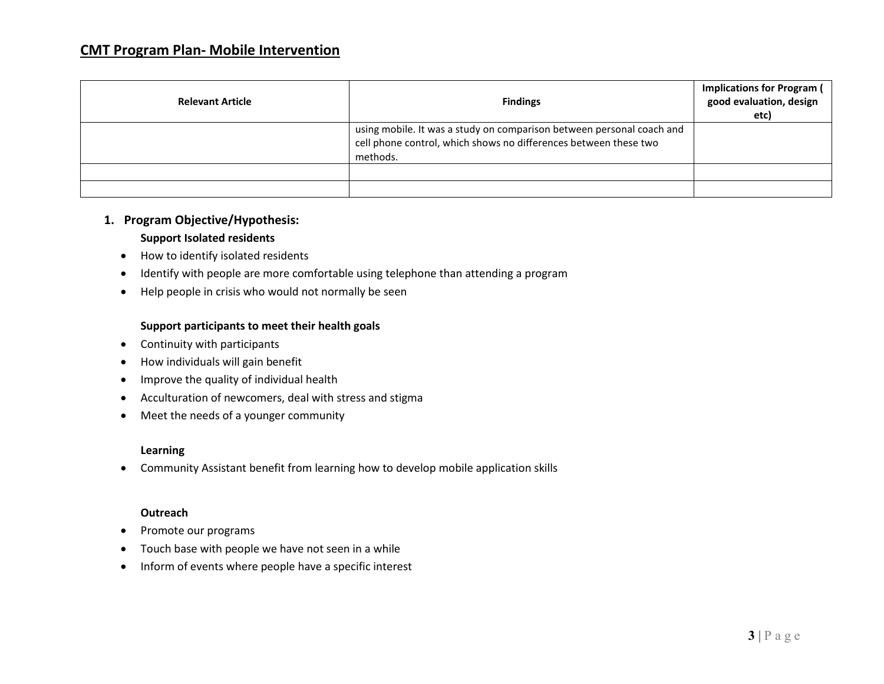| <b>Relevant Article</b> | <b>Findings</b>                                                                                                                                       | <b>Implications for Program (</b><br>good evaluation, design<br>etc) |
|-------------------------|-------------------------------------------------------------------------------------------------------------------------------------------------------|----------------------------------------------------------------------|
|                         | using mobile. It was a study on comparison between personal coach and<br>cell phone control, which shows no differences between these two<br>methods. |                                                                      |
|                         |                                                                                                                                                       |                                                                      |
|                         |                                                                                                                                                       |                                                                      |

## **1. Program Objective/Hypothesis:**

#### **Support Isolated residents**

- How to identify isolated residents
- Identify with people are more comfortable using telephone than attending a program
- Help people in crisis who would not normally be seen

## **Support participants to meet their health goals**

- Continuity with participants
- How individuals will gain benefit
- Improve the quality of individual health
- Acculturation of newcomers, deal with stress and stigma
- Meet the needs of a younger community

## **Learning**

• Community Assistant benefit from learning how to develop mobile application skills

#### **Outreach**

- Promote our programs
- Touch base with people we have not seen in a while
- Inform of events where people have a specific interest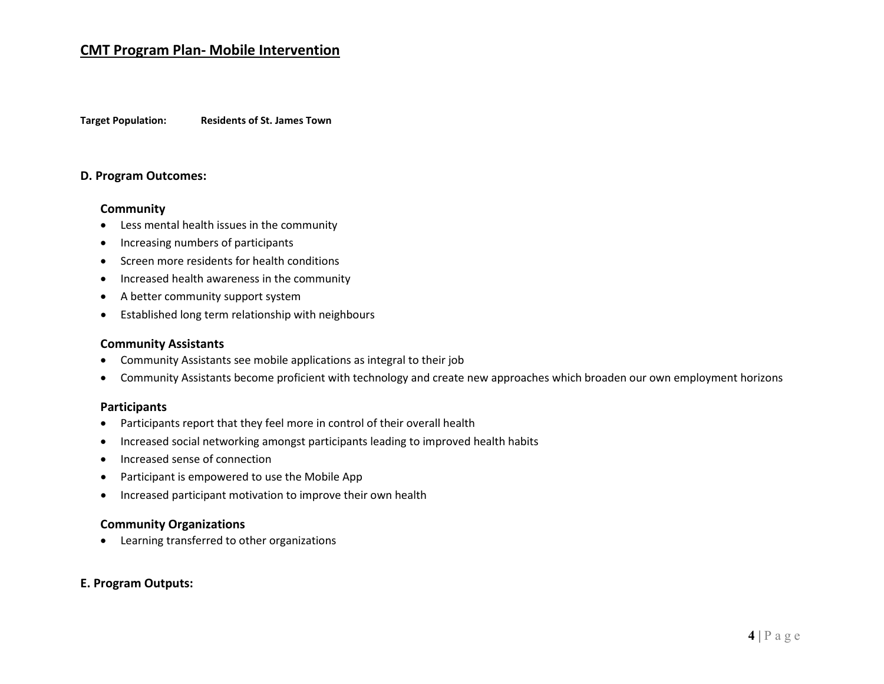## **CMT Program Plan- Mobile Intervention**

**Target Population: Residents of St. James Town**

## **D. Program Outcomes:**

#### **Community**

- Less mental health issues in the community
- Increasing numbers of participants
- Screen more residents for health conditions
- Increased health awareness in the community
- A better community support system
- Established long term relationship with neighbours

## **Community Assistants**

- Community Assistants see mobile applications as integral to their job
- Community Assistants become proficient with technology and create new approaches which broaden our own employment horizons

#### **Participants**

- Participants report that they feel more in control of their overall health
- Increased social networking amongst participants leading to improved health habits
- Increased sense of connection
- Participant is empowered to use the Mobile App
- Increased participant motivation to improve their own health

#### **Community Organizations**

• Learning transferred to other organizations

#### **E. Program Outputs:**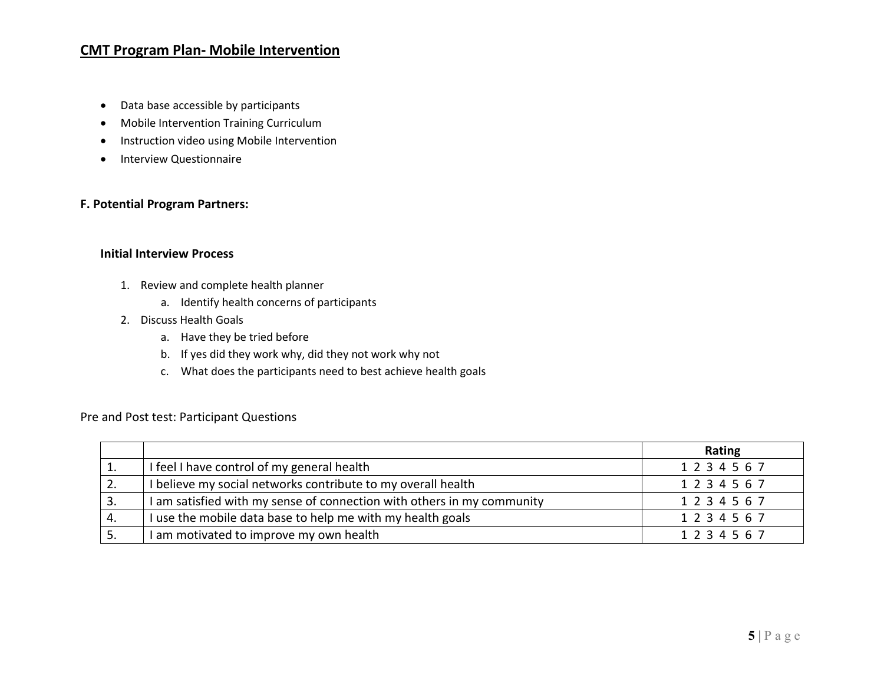## **CMT Program Plan- Mobile Intervention**

- Data base accessible by participants
- Mobile Intervention Training Curriculum
- Instruction video using Mobile Intervention
- Interview Questionnaire

## **F. Potential Program Partners:**

#### **Initial Interview Process**

- 1. Review and complete health planner
	- a. Identify health concerns of participants
- 2. Discuss Health Goals
	- a. Have they be tried before
	- b. If yes did they work why, did they not work why not
	- c. What does the participants need to best achieve health goals

## Pre and Post test: Participant Questions

|    |                                                                        | Rating  |
|----|------------------------------------------------------------------------|---------|
|    | I feel I have control of my general health                             | 1234567 |
| z. | I believe my social networks contribute to my overall health           | 1234567 |
| 3. | I am satisfied with my sense of connection with others in my community | 1234567 |
| 4. | I use the mobile data base to help me with my health goals             | 1234567 |
| 5. | I am motivated to improve my own health                                | 1234567 |